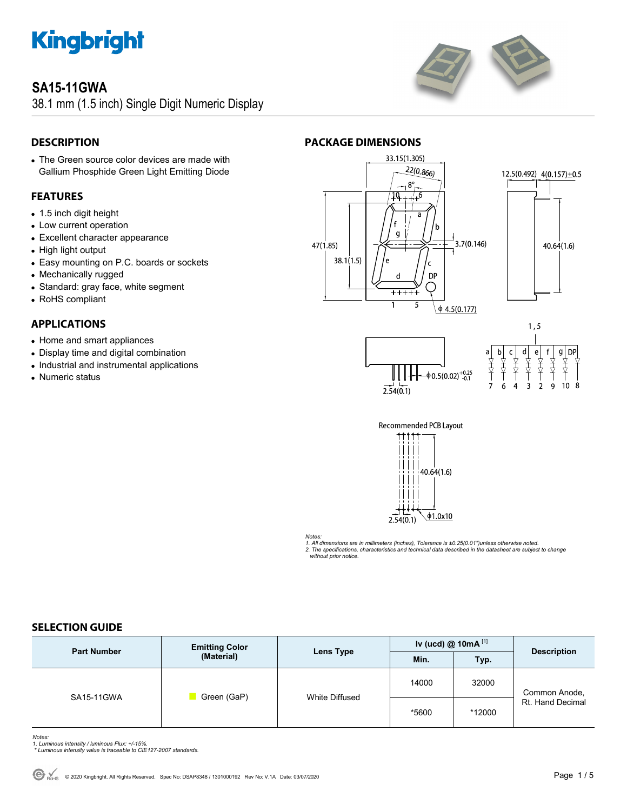

# **SA15-11GWA**

38.1 mm (1.5 inch) Single Digit Numeric Display



**PACKAGE DIMENSIONS** 



# **DESCRIPTION**

 The Green source color devices are made with Gallium Phosphide Green Light Emitting Diode

# **FEATURES**

- 1.5 inch digit height
- Low current operation
- Excellent character appearance
- High light output
- Easy mounting on P.C. boards or sockets
- Mechanically rugged
- Standard: gray face, white segment
- RoHS compliant

# **APPLICATIONS**

- Home and smart appliances
- Display time and digital combination
- Industrial and instrumental applications
- Numeric status











#### *Notes:*

*1. All dimensions are in millimeters (inches), Tolerance is ±0.25(0.01")unless otherwise noted. 2. The specifications, characteristics and technical data described in the datasheet are subject to change without prior notice.* 

# **SELECTION GUIDE**

| <b>Part Number</b> | <b>Emitting Color</b><br>(Material) | Lens Type      | Iv (ucd) $@$ 10mA $^{[1]}$ |        |                                   |
|--------------------|-------------------------------------|----------------|----------------------------|--------|-----------------------------------|
|                    |                                     |                | Min.                       | Typ.   | <b>Description</b>                |
| SA15-11GWA         | Green (GaP)                         | White Diffused | 14000                      | 32000  | Common Anode,<br>Rt. Hand Decimal |
|                    |                                     |                | *5600                      | *12000 |                                   |

- *Notes: 1. Luminous intensity / luminous Flux: +/-15%.*
- *\* Luminous intensity value is traceable to CIE127-2007 standards.*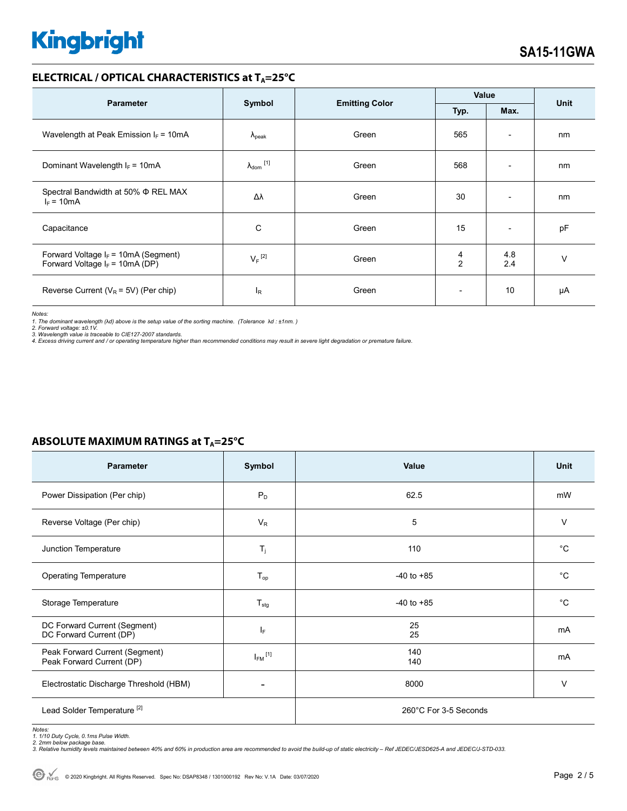### **ELECTRICAL / OPTICAL CHARACTERISTICS at T<sub>A</sub>=25°C**

| <b>Parameter</b>                                                            |                              | <b>Emitting Color</b> | Value                    |                          | <b>Unit</b> |
|-----------------------------------------------------------------------------|------------------------------|-----------------------|--------------------------|--------------------------|-------------|
|                                                                             | Symbol<br>Typ.<br>Max.       |                       |                          |                          |             |
| Wavelength at Peak Emission $I_F = 10mA$                                    | $\Lambda_{\rm peak}$         | Green                 | 565                      | $\overline{\phantom{a}}$ | nm          |
| Dominant Wavelength $I_F = 10mA$                                            | $\lambda_{\mathsf{dom}}$ [1] | Green                 | 568                      | $\overline{\phantom{0}}$ | nm          |
| Spectral Bandwidth at 50% $\Phi$ REL MAX<br>$I_F = 10mA$                    | Δλ                           | Green                 | 30                       | $\overline{\phantom{0}}$ | nm          |
| Capacitance                                                                 | C                            | Green                 | 15                       | $\overline{\phantom{a}}$ | pF          |
| Forward Voltage $I_F$ = 10mA (Segment)<br>Forward Voltage $I_F$ = 10mA (DP) | $V_F$ <sup>[2]</sup>         | Green                 | 4<br>$\overline{2}$      | 4.8<br>2.4               | $\vee$      |
| Reverse Current ( $V_R$ = 5V) (Per chip)                                    | <sup>I</sup> R               | Green                 | $\overline{\phantom{a}}$ | 10                       | μA          |

*Notes:* 

1. The dominant wavelength (λd) above is the setup value of the sorting machine. (Tolerance λd : ±1nm. )<br>2. Forward voltage: ±0.1V.<br>3. Wavelength value is traceable to CIE127-2007 standards.<br>4. Excess driving current and

| <b>Parameter</b>                                            | Symbol           | Value                 | <b>Unit</b> |
|-------------------------------------------------------------|------------------|-----------------------|-------------|
| Power Dissipation (Per chip)                                | $P_D$            | 62.5                  | mW          |
| Reverse Voltage (Per chip)                                  | $V_{R}$          | 5                     | V           |
| Junction Temperature                                        | $T_j$            | 110                   | $^{\circ}C$ |
| <b>Operating Temperature</b>                                | $T_{op}$         | $-40$ to $+85$        | $^{\circ}C$ |
| Storage Temperature                                         | $T_{\text{stg}}$ | $-40$ to $+85$        | $^{\circ}C$ |
| DC Forward Current (Segment)<br>DC Forward Current (DP)     | IF.              | 25<br>25              | mA          |
| Peak Forward Current (Segment)<br>Peak Forward Current (DP) | $I_{FM}$ [1]     | 140<br>140            | mA          |
| Electrostatic Discharge Threshold (HBM)                     |                  | 8000                  | $\vee$      |
| Lead Solder Temperature <sup>[2]</sup>                      |                  | 260°C For 3-5 Seconds |             |

### **ABSOLUTE MAXIMUM RATINGS at T<sub>A</sub>=25°C**

Notes:<br>1. 1/10 Duty Cycle, 0.1ms Pulse Width.<br>2. 2mm below package base.<br>3. Relative humidity levels maintained between 40% and 60% in production area are recommended to avoid the build-up of static electricity – Ref JEDEC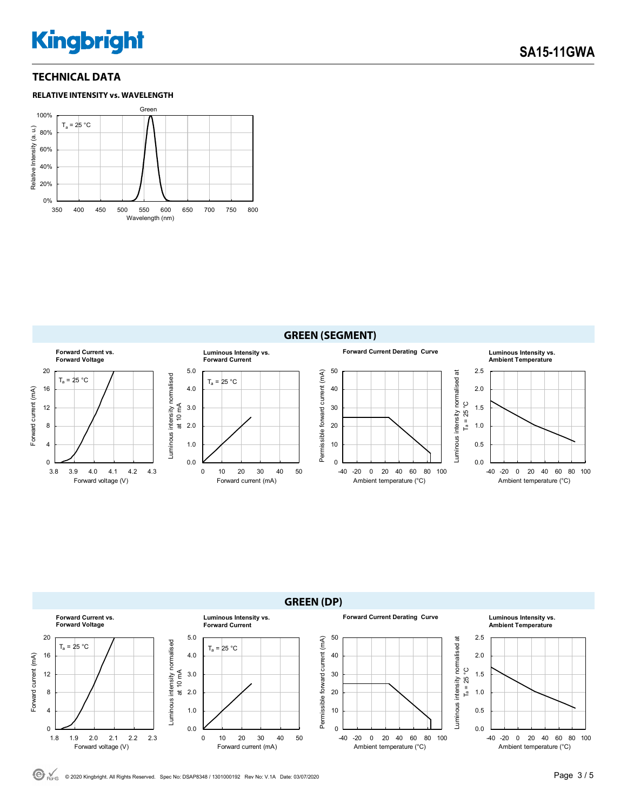# **TECHNICAL DATA**







© 2020 Kingbright. All Rights Reserved. Spec No: DSAP8348 / 1301000192 Rev No: V.1A Date: 03/07/2020Page 3 / 5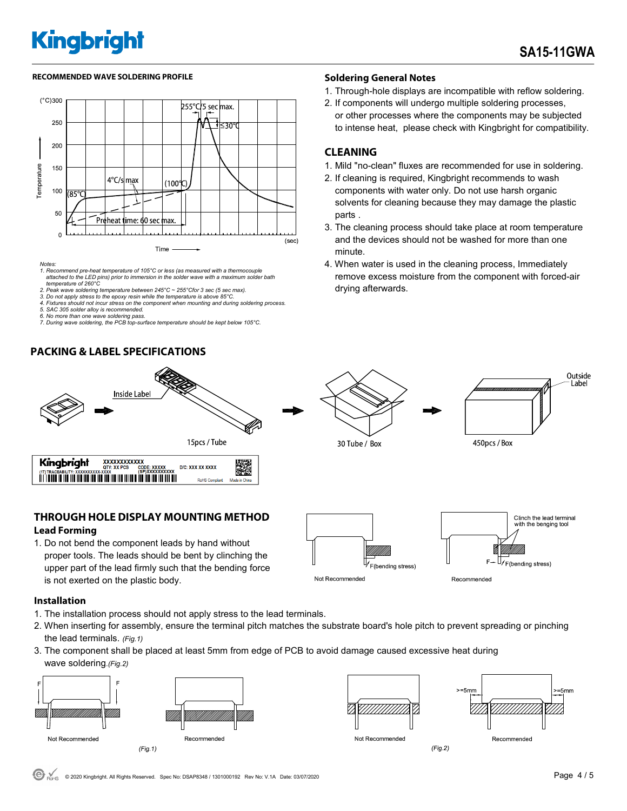### RECOMMENDED WAVE SOLDERING PROFILE **A CONTACT A CONTACT SOLDERING PROFILE** SOLDERING PROFILE



- *Notes: 1. Recommend pre-heat temperature of 105°C or less (as measured with a thermocouple attached to the LED pins) prior to immersion in the solder wave with a maximum solder bath temperature of 260°C*
- *2. Peak wave soldering temperature between 245°C ~ 255°Cfor 3 sec (5 sec max).*
- *3. Do not apply stress to the epoxy resin while the temperature is above 85°C. 4. Fixtures should not incur stress on the component when mounting and during soldering process.*
- 
- *5. SAC 305 solder alloy is recommended. 6. No more than one wave soldering pass.*
- *7. During wave soldering, the PCB top-surface temperature should be kept below 105°C.*

# **PACKING & LABEL SPECIFICATIONS**



# **THROUGH HOLE DISPLAY MOUNTING METHOD Lead Forming**

1. Do not bend the component leads by hand without proper tools. The leads should be bent by clinching the upper part of the lead firmly such that the bending force is not exerted on the plastic body.

# Clinch the lead terminal with the benging too F4 F(bending stress) F(bending stress) Not Recommended Recommended

#### **Installation**

- 1. The installation process should not apply stress to the lead terminals.
- 2. When inserting for assembly, ensure the terminal pitch matches the substrate board's hole pitch to prevent spreading or pinching the lead terminals. *(Fig.1)*
- 3. The component shall be placed at least 5mm from edge of PCB to avoid damage caused excessive heat during wave soldering.*(Fig.2)*







 $(Fig.2)$ 



- 1. Through-hole displays are incompatible with reflow soldering.
- 2. If components will undergo multiple soldering processes, or other processes where the components may be subjected to intense heat, please check with Kingbright for compatibility.

# **CLEANING**

- 1. Mild "no-clean" fluxes are recommended for use in soldering.
- 2. If cleaning is required, Kingbright recommends to wash components with water only. Do not use harsh organic solvents for cleaning because they may damage the plastic parts .
- 3. The cleaning process should take place at room temperature and the devices should not be washed for more than one minute.
- 4. When water is used in the cleaning process, Immediately remove excess moisture from the component with forced-air drying afterwards.